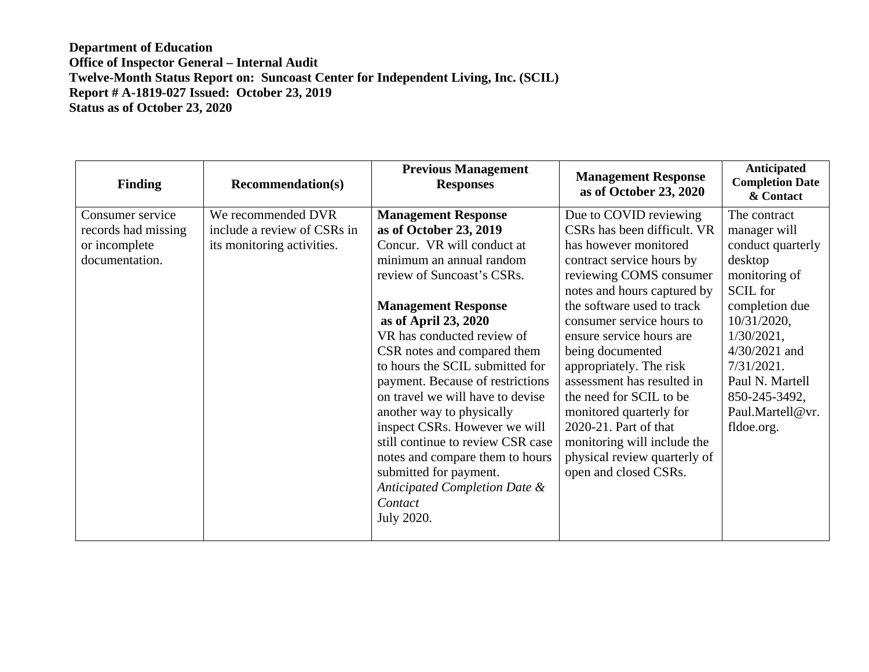| <b>Finding</b>                                                             | <b>Recommendation(s)</b>                                                        | <b>Previous Management</b><br><b>Responses</b>                                                                                                                                                                                                                                                                                                                                                                                                                                                                                                                                                       | <b>Management Response</b><br>as of October 23, 2020                                                                                                                                                                                                                                                                                                                                                                                                                                                             | <b>Anticipated</b><br><b>Completion Date</b><br>& Contact                                                                                                                                                                                          |
|----------------------------------------------------------------------------|---------------------------------------------------------------------------------|------------------------------------------------------------------------------------------------------------------------------------------------------------------------------------------------------------------------------------------------------------------------------------------------------------------------------------------------------------------------------------------------------------------------------------------------------------------------------------------------------------------------------------------------------------------------------------------------------|------------------------------------------------------------------------------------------------------------------------------------------------------------------------------------------------------------------------------------------------------------------------------------------------------------------------------------------------------------------------------------------------------------------------------------------------------------------------------------------------------------------|----------------------------------------------------------------------------------------------------------------------------------------------------------------------------------------------------------------------------------------------------|
| Consumer service<br>records had missing<br>or incomplete<br>documentation. | We recommended DVR<br>include a review of CSRs in<br>its monitoring activities. | <b>Management Response</b><br>as of October 23, 2019<br>Concur. VR will conduct at<br>minimum an annual random<br>review of Suncoast's CSRs.<br><b>Management Response</b><br>as of April 23, 2020<br>VR has conducted review of<br>CSR notes and compared them<br>to hours the SCIL submitted for<br>payment. Because of restrictions<br>on travel we will have to devise<br>another way to physically<br>inspect CSRs. However we will<br>still continue to review CSR case<br>notes and compare them to hours<br>submitted for payment.<br>Anticipated Completion Date &<br>Contact<br>July 2020. | Due to COVID reviewing<br>CSRs has been difficult. VR<br>has however monitored<br>contract service hours by<br>reviewing COMS consumer<br>notes and hours captured by<br>the software used to track<br>consumer service hours to<br>ensure service hours are<br>being documented<br>appropriately. The risk<br>assessment has resulted in<br>the need for SCIL to be<br>monitored quarterly for<br>2020-21. Part of that<br>monitoring will include the<br>physical review quarterly of<br>open and closed CSRs. | The contract<br>manager will<br>conduct quarterly<br>desktop<br>monitoring of<br>SCIL for<br>completion due<br>10/31/2020,<br>$1/30/2021$ ,<br>$4/30/2021$ and<br>7/31/2021.<br>Paul N. Martell<br>850-245-3492,<br>Paul.Martell@vr.<br>fldoe.org. |
|                                                                            |                                                                                 |                                                                                                                                                                                                                                                                                                                                                                                                                                                                                                                                                                                                      |                                                                                                                                                                                                                                                                                                                                                                                                                                                                                                                  |                                                                                                                                                                                                                                                    |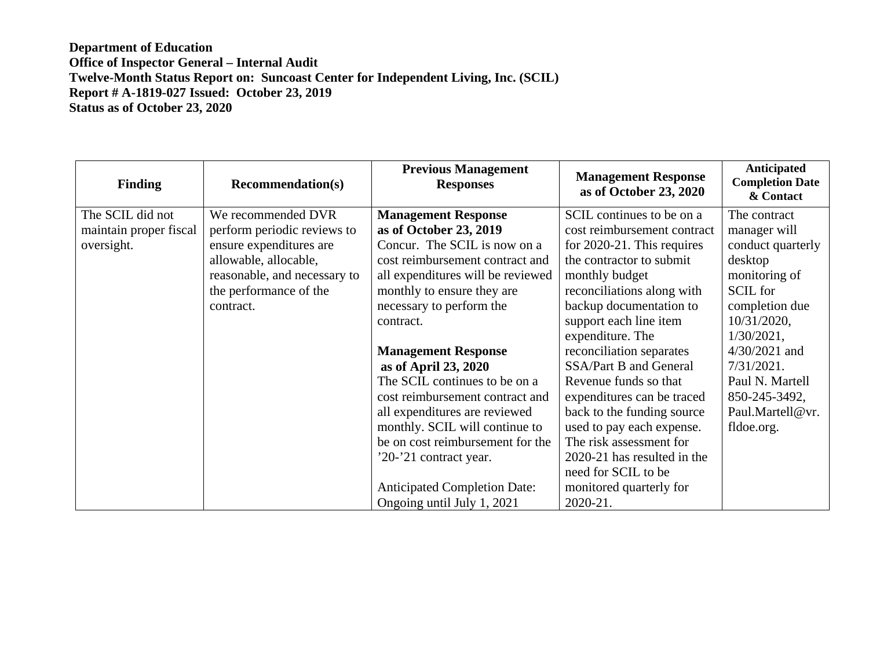| <b>Finding</b>         | <b>Recommendation(s)</b>     | <b>Previous Management</b><br><b>Responses</b> | <b>Management Response</b><br>as of October 23, 2020 | Anticipated<br><b>Completion Date</b><br>& Contact |
|------------------------|------------------------------|------------------------------------------------|------------------------------------------------------|----------------------------------------------------|
| The SCIL did not       | We recommended DVR           | <b>Management Response</b>                     | SCIL continues to be on a                            | The contract                                       |
| maintain proper fiscal | perform periodic reviews to  | as of October 23, 2019                         | cost reimbursement contract                          | manager will                                       |
| oversight.             | ensure expenditures are      | Concur. The SCIL is now on a                   | for $2020-21$ . This requires                        | conduct quarterly                                  |
|                        | allowable, allocable,        | cost reimbursement contract and                | the contractor to submit                             | desktop                                            |
|                        | reasonable, and necessary to | all expenditures will be reviewed              | monthly budget                                       | monitoring of                                      |
|                        | the performance of the       | monthly to ensure they are                     | reconciliations along with                           | <b>SCIL</b> for                                    |
|                        | contract.                    | necessary to perform the                       | backup documentation to                              | completion due                                     |
|                        |                              | contract.                                      | support each line item                               | 10/31/2020,                                        |
|                        |                              |                                                | expenditure. The                                     | $1/30/2021$ ,                                      |
|                        |                              | <b>Management Response</b>                     | reconciliation separates                             | $4/30/2021$ and                                    |
|                        |                              | as of April 23, 2020                           | SSA/Part B and General                               | 7/31/2021.                                         |
|                        |                              | The SCIL continues to be on a                  | Revenue funds so that                                | Paul N. Martell                                    |
|                        |                              | cost reimbursement contract and                | expenditures can be traced                           | 850-245-3492,                                      |
|                        |                              | all expenditures are reviewed                  | back to the funding source                           | Paul.Martell@vr.                                   |
|                        |                              | monthly. SCIL will continue to                 | used to pay each expense.                            | fldoe.org.                                         |
|                        |                              | be on cost reimbursement for the               | The risk assessment for                              |                                                    |
|                        |                              | '20-'21 contract year.                         | 2020-21 has resulted in the                          |                                                    |
|                        |                              |                                                | need for SCIL to be                                  |                                                    |
|                        |                              | <b>Anticipated Completion Date:</b>            | monitored quarterly for                              |                                                    |
|                        |                              | Ongoing until July 1, 2021                     | $2020 - 21$ .                                        |                                                    |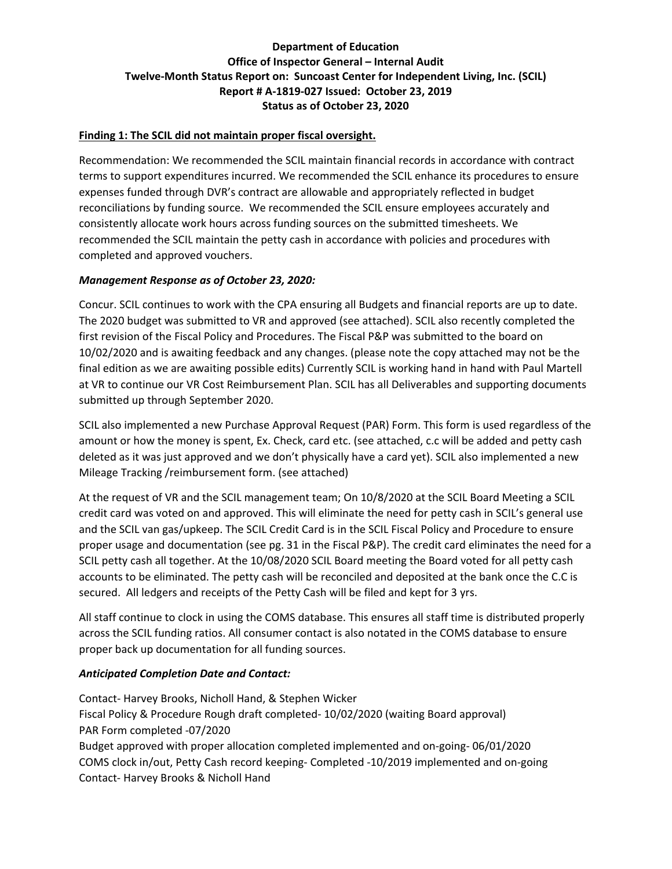#### **Finding 1: The SCIL did not maintain proper fiscal oversight.**

Recommendation: We recommended the SCIL maintain financial records in accordance with contract terms to support expenditures incurred. We recommended the SCIL enhance its procedures to ensure expenses funded through DVR's contract are allowable and appropriately reflected in budget reconciliations by funding source. We recommended the SCIL ensure employees accurately and consistently allocate work hours across funding sources on the submitted timesheets. We recommended the SCIL maintain the petty cash in accordance with policies and procedures with completed and approved vouchers.

#### *Management Response as of October 23, 2020:*

Concur. SCIL continues to work with the CPA ensuring all Budgets and financial reports are up to date. The 2020 budget was submitted to VR and approved (see attached). SCIL also recently completed the first revision of the Fiscal Policy and Procedures. The Fiscal P&P was submitted to the board on 10/02/2020 and is awaiting feedback and any changes. (please note the copy attached may not be the final edition as we are awaiting possible edits) Currently SCIL is working hand in hand with Paul Martell at VR to continue our VR Cost Reimbursement Plan. SCIL has all Deliverables and supporting documents submitted up through September 2020.

SCIL also implemented a new Purchase Approval Request (PAR) Form. This form is used regardless of the amount or how the money is spent, Ex. Check, card etc. (see attached, c.c will be added and petty cash deleted as it was just approved and we don't physically have a card yet). SCIL also implemented a new Mileage Tracking /reimbursement form. (see attached)

At the request of VR and the SCIL management team; On 10/8/2020 at the SCIL Board Meeting a SCIL credit card was voted on and approved. This will eliminate the need for petty cash in SCIL's general use and the SCIL van gas/upkeep. The SCIL Credit Card is in the SCIL Fiscal Policy and Procedure to ensure proper usage and documentation (see pg. 31 in the Fiscal P&P). The credit card eliminates the need for a SCIL petty cash all together. At the 10/08/2020 SCIL Board meeting the Board voted for all petty cash accounts to be eliminated. The petty cash will be reconciled and deposited at the bank once the C.C is secured. All ledgers and receipts of the Petty Cash will be filed and kept for 3 yrs.

All staff continue to clock in using the COMS database. This ensures all staff time is distributed properly across the SCIL funding ratios. All consumer contact is also notated in the COMS database to ensure proper back up documentation for all funding sources.

#### *Anticipated Completion Date and Contact:*

Contact- Harvey Brooks, Nicholl Hand, & Stephen Wicker Fiscal Policy & Procedure Rough draft completed- 10/02/2020 (waiting Board approval) PAR Form completed -07/2020 Budget approved with proper allocation completed implemented and on-going- 06/01/2020 COMS clock in/out, Petty Cash record keeping- Completed -10/2019 implemented and on-going Contact- Harvey Brooks & Nicholl Hand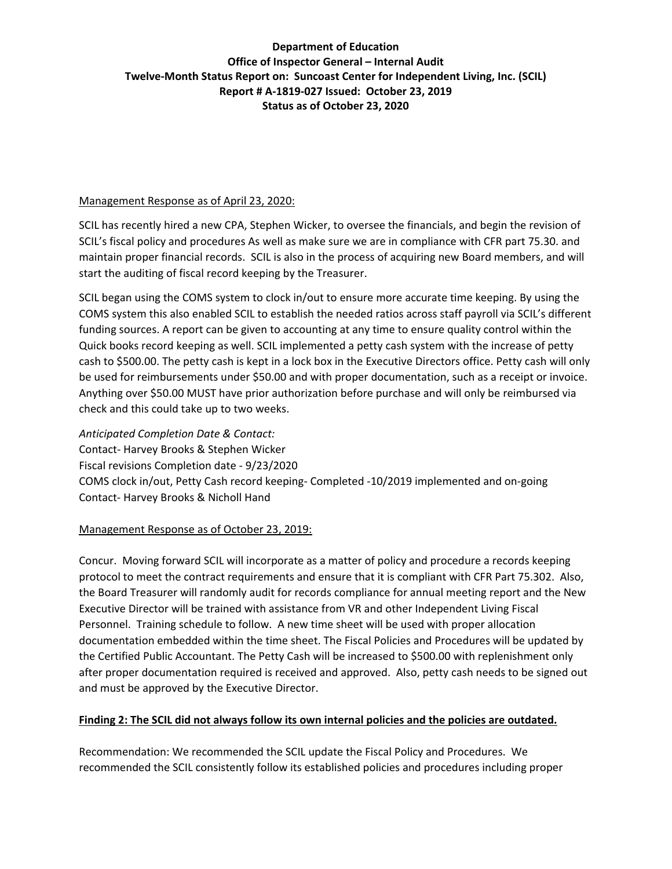#### Management Response as of April 23, 2020:

SCIL has recently hired a new CPA, Stephen Wicker, to oversee the financials, and begin the revision of SCIL's fiscal policy and procedures As well as make sure we are in compliance with CFR part 75.30. and maintain proper financial records. SCIL is also in the process of acquiring new Board members, and will start the auditing of fiscal record keeping by the Treasurer.

SCIL began using the COMS system to clock in/out to ensure more accurate time keeping. By using the COMS system this also enabled SCIL to establish the needed ratios across staff payroll via SCIL's different funding sources. A report can be given to accounting at any time to ensure quality control within the Quick books record keeping as well. SCIL implemented a petty cash system with the increase of petty cash to \$500.00. The petty cash is kept in a lock box in the Executive Directors office. Petty cash will only be used for reimbursements under \$50.00 and with proper documentation, such as a receipt or invoice. Anything over \$50.00 MUST have prior authorization before purchase and will only be reimbursed via check and this could take up to two weeks.

*Anticipated Completion Date & Contact:*  Contact- Harvey Brooks & Stephen Wicker Fiscal revisions Completion date - 9/23/2020 COMS clock in/out, Petty Cash record keeping- Completed -10/2019 implemented and on-going Contact- Harvey Brooks & Nicholl Hand

### Management Response as of October 23, 2019:

Concur. Moving forward SCIL will incorporate as a matter of policy and procedure a records keeping protocol to meet the contract requirements and ensure that it is compliant with CFR Part 75.302. Also, the Board Treasurer will randomly audit for records compliance for annual meeting report and the New Executive Director will be trained with assistance from VR and other Independent Living Fiscal Personnel. Training schedule to follow. A new time sheet will be used with proper allocation documentation embedded within the time sheet. The Fiscal Policies and Procedures will be updated by the Certified Public Accountant. The Petty Cash will be increased to \$500.00 with replenishment only after proper documentation required is received and approved. Also, petty cash needs to be signed out and must be approved by the Executive Director.

### **Finding 2: The SCIL did not always follow its own internal policies and the policies are outdated.**

Recommendation: We recommended the SCIL update the Fiscal Policy and Procedures. We recommended the SCIL consistently follow its established policies and procedures including proper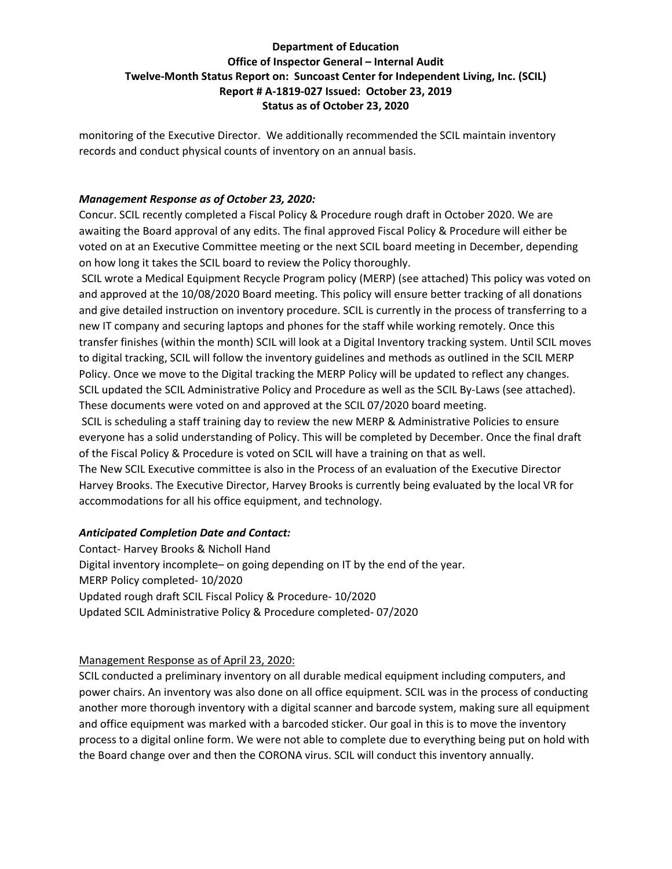monitoring of the Executive Director. We additionally recommended the SCIL maintain inventory records and conduct physical counts of inventory on an annual basis.

#### *Management Response as of October 23, 2020:*

Concur. SCIL recently completed a Fiscal Policy & Procedure rough draft in October 2020. We are awaiting the Board approval of any edits. The final approved Fiscal Policy & Procedure will either be voted on at an Executive Committee meeting or the next SCIL board meeting in December, depending on how long it takes the SCIL board to review the Policy thoroughly.

SCIL wrote a Medical Equipment Recycle Program policy (MERP) (see attached) This policy was voted on and approved at the 10/08/2020 Board meeting. This policy will ensure better tracking of all donations and give detailed instruction on inventory procedure. SCIL is currently in the process of transferring to a new IT company and securing laptops and phones for the staff while working remotely. Once this transfer finishes (within the month) SCIL will look at a Digital Inventory tracking system. Until SCIL moves to digital tracking, SCIL will follow the inventory guidelines and methods as outlined in the SCIL MERP Policy. Once we move to the Digital tracking the MERP Policy will be updated to reflect any changes. SCIL updated the SCIL Administrative Policy and Procedure as well as the SCIL By-Laws (see attached). These documents were voted on and approved at the SCIL 07/2020 board meeting.

SCIL is scheduling a staff training day to review the new MERP & Administrative Policies to ensure everyone has a solid understanding of Policy. This will be completed by December. Once the final draft of the Fiscal Policy & Procedure is voted on SCIL will have a training on that as well.

The New SCIL Executive committee is also in the Process of an evaluation of the Executive Director Harvey Brooks. The Executive Director, Harvey Brooks is currently being evaluated by the local VR for accommodations for all his office equipment, and technology.

### *Anticipated Completion Date and Contact:*

Contact- Harvey Brooks & Nicholl Hand Digital inventory incomplete– on going depending on IT by the end of the year. MERP Policy completed- 10/2020 Updated rough draft SCIL Fiscal Policy & Procedure- 10/2020 Updated SCIL Administrative Policy & Procedure completed- 07/2020

### Management Response as of April 23, 2020:

SCIL conducted a preliminary inventory on all durable medical equipment including computers, and power chairs. An inventory was also done on all office equipment. SCIL was in the process of conducting another more thorough inventory with a digital scanner and barcode system, making sure all equipment and office equipment was marked with a barcoded sticker. Our goal in this is to move the inventory process to a digital online form. We were not able to complete due to everything being put on hold with the Board change over and then the CORONA virus. SCIL will conduct this inventory annually.